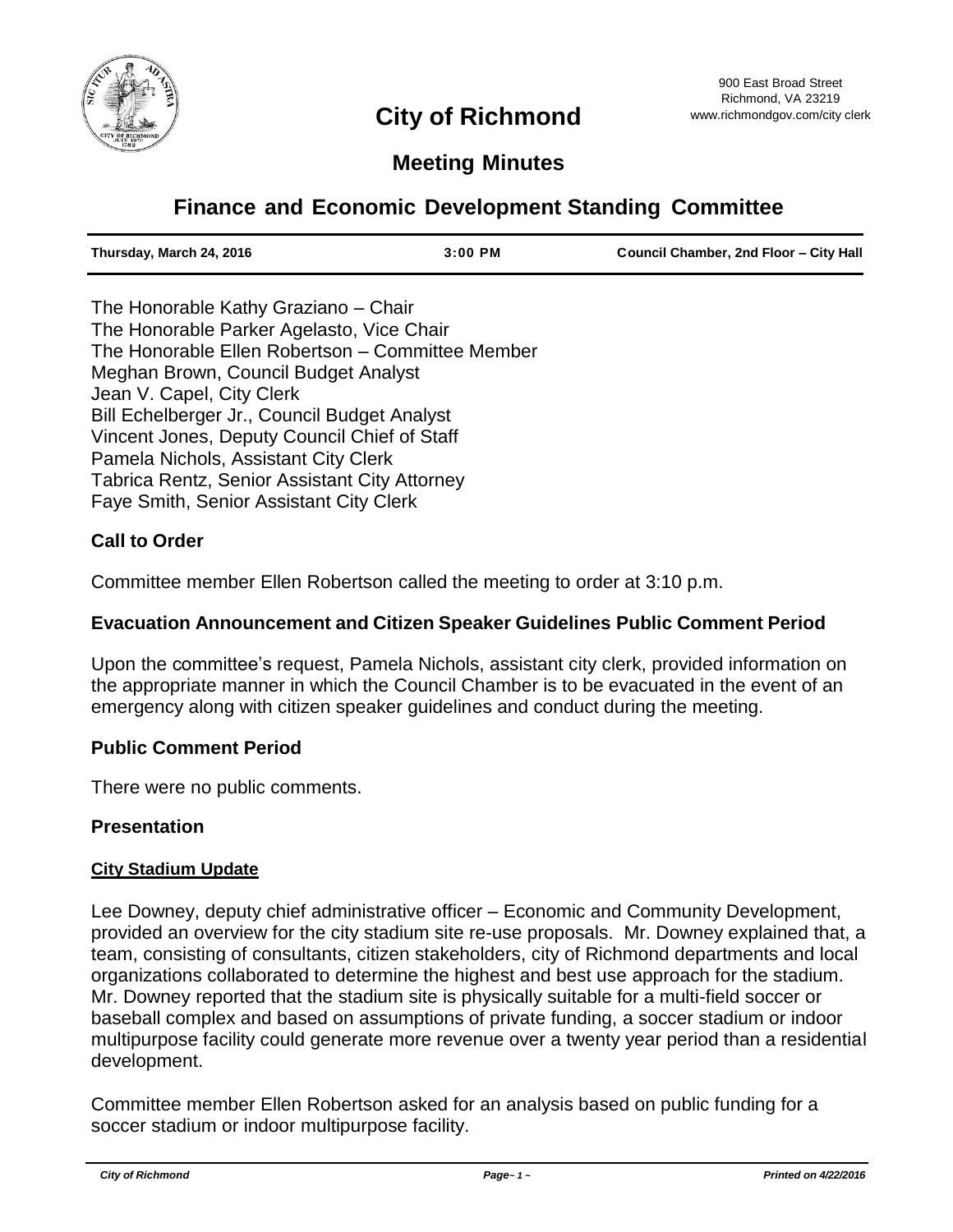

# **Meeting Minutes**

# **Finance and Economic Development Standing Committee**

| Thursday, March 24, 2016 | $3:00$ PM | Council Chamber, 2nd Floor - City Hall |
|--------------------------|-----------|----------------------------------------|
|                          |           |                                        |

The Honorable Kathy Graziano – Chair The Honorable Parker Agelasto, Vice Chair The Honorable Ellen Robertson – Committee Member Meghan Brown, Council Budget Analyst Jean V. Capel, City Clerk Bill Echelberger Jr., Council Budget Analyst Vincent Jones, Deputy Council Chief of Staff Pamela Nichols, Assistant City Clerk Tabrica Rentz, Senior Assistant City Attorney Faye Smith, Senior Assistant City Clerk

# **Call to Order**

Committee member Ellen Robertson called the meeting to order at 3:10 p.m.

#### **Evacuation Announcement and Citizen Speaker Guidelines Public Comment Period**

Upon the committee's request, Pamela Nichols, assistant city clerk, provided information on the appropriate manner in which the Council Chamber is to be evacuated in the event of an emergency along with citizen speaker guidelines and conduct during the meeting.

#### **Public Comment Period**

There were no public comments.

#### **Presentation**

#### **City Stadium Update**

Lee Downey, deputy chief administrative officer – Economic and Community Development, provided an overview for the city stadium site re-use proposals. Mr. Downey explained that, a team, consisting of consultants, citizen stakeholders, city of Richmond departments and local organizations collaborated to determine the highest and best use approach for the stadium. Mr. Downey reported that the stadium site is physically suitable for a multi-field soccer or baseball complex and based on assumptions of private funding, a soccer stadium or indoor multipurpose facility could generate more revenue over a twenty year period than a residential development.

Committee member Ellen Robertson asked for an analysis based on public funding for a soccer stadium or indoor multipurpose facility.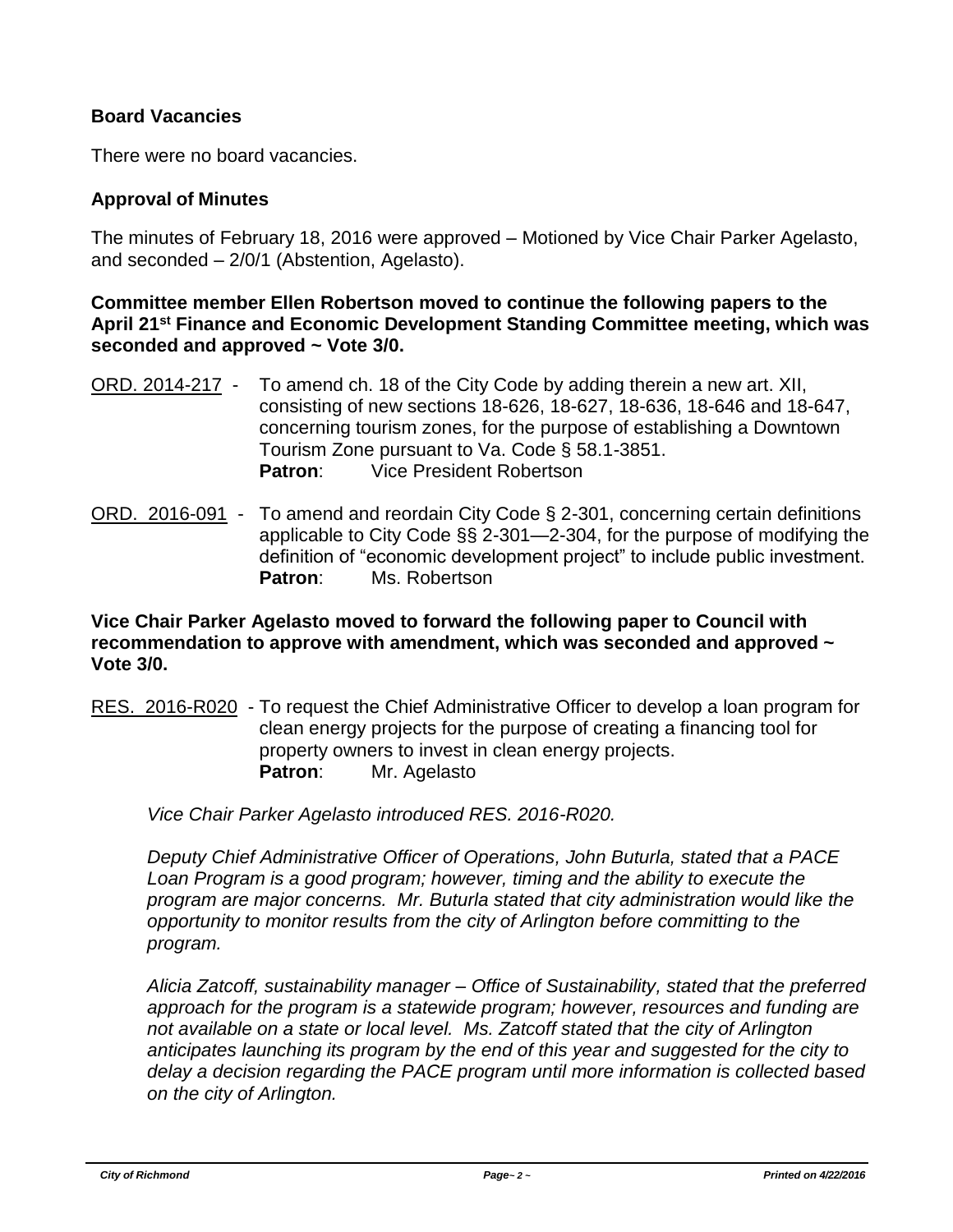# **Board Vacancies**

There were no board vacancies.

# **Approval of Minutes**

The minutes of February 18, 2016 were approved – Motioned by Vice Chair Parker Agelasto, and seconded – 2/0/1 (Abstention, Agelasto).

**Committee member Ellen Robertson moved to continue the following papers to the April 21st Finance and Economic Development Standing Committee meeting, which was seconded and approved ~ Vote 3/0.**

- ORD. 2014-217 To amend ch. 18 of the City Code by adding therein a new art. XII, consisting of new sections 18-626, 18-627, 18-636, 18-646 and 18-647, concerning tourism zones, for the purpose of establishing a Downtown Tourism Zone pursuant to Va. Code § 58.1-3851. **Patron**: Vice President Robertson
- ORD. 2016-091 To amend and reordain City Code § 2-301, concerning certain definitions applicable to City Code §§ 2-301—2-304, for the purpose of modifying the definition of "economic development project" to include public investment. **Patron**: Ms. Robertson

**Vice Chair Parker Agelasto moved to forward the following paper to Council with recommendation to approve with amendment, which was seconded and approved ~ Vote 3/0.**

RES. 2016-R020 - To request the Chief Administrative Officer to develop a loan program for clean energy projects for the purpose of creating a financing tool for property owners to invest in clean energy projects. Patron: Mr. Agelasto

*Vice Chair Parker Agelasto introduced RES. 2016-R020.*

*Deputy Chief Administrative Officer of Operations, John Buturla, stated that a PACE*  Loan Program is a good program; however, timing and the ability to execute the *program are major concerns. Mr. Buturla stated that city administration would like the opportunity to monitor results from the city of Arlington before committing to the program.*

*Alicia Zatcoff, sustainability manager – Office of Sustainability, stated that the preferred approach for the program is a statewide program; however, resources and funding are not available on a state or local level. Ms. Zatcoff stated that the city of Arlington anticipates launching its program by the end of this year and suggested for the city to delay a decision regarding the PACE program until more information is collected based on the city of Arlington.*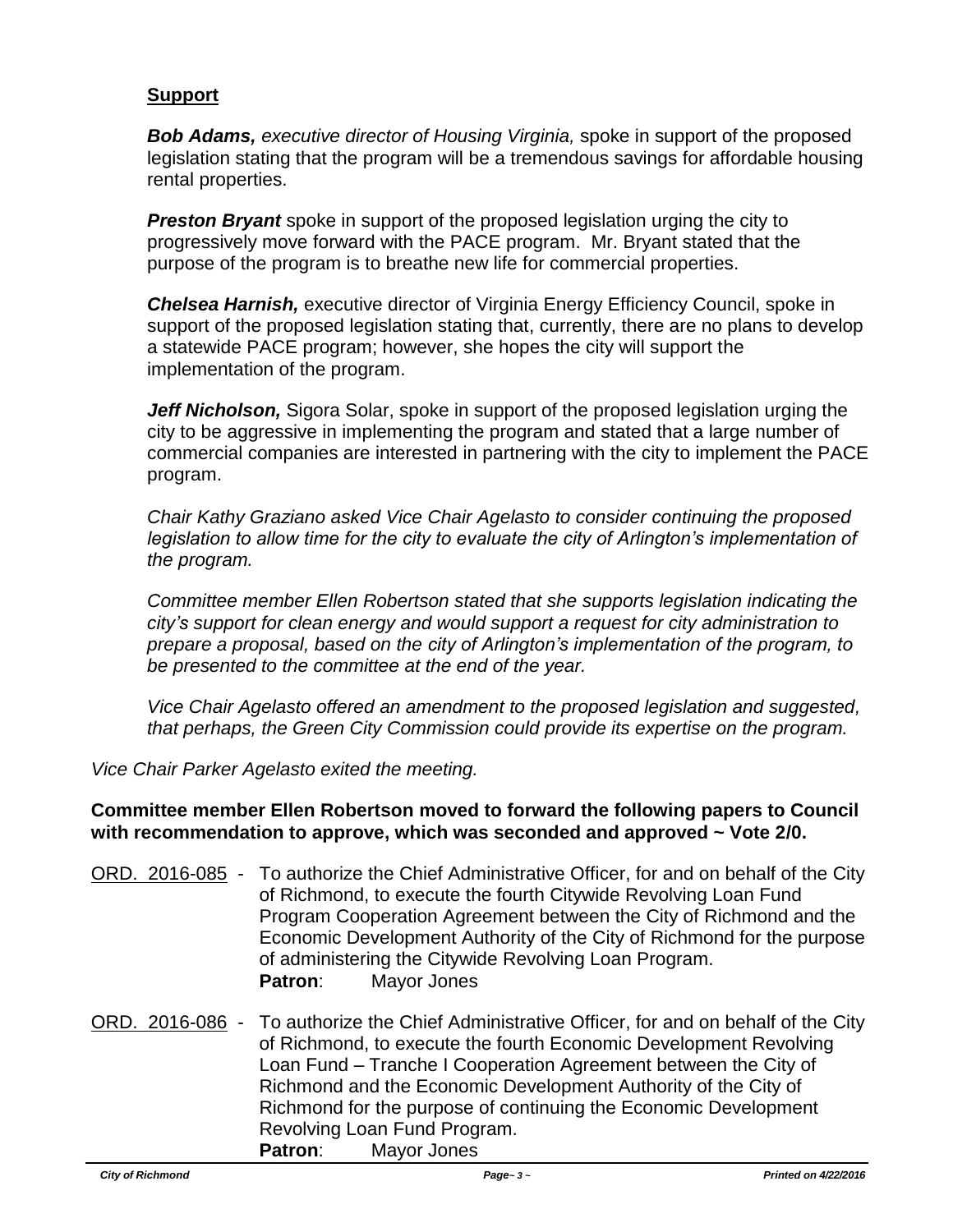# **Support**

*Bob Adams, executive director of Housing Virginia,* spoke in support of the proposed legislation stating that the program will be a tremendous savings for affordable housing rental properties.

**Preston Bryant** spoke in support of the proposed legislation urging the city to progressively move forward with the PACE program. Mr. Bryant stated that the purpose of the program is to breathe new life for commercial properties.

*Chelsea Harnish,* executive director of Virginia Energy Efficiency Council, spoke in support of the proposed legislation stating that, currently, there are no plans to develop a statewide PACE program; however, she hopes the city will support the implementation of the program.

**Jeff Nicholson,** Sigora Solar, spoke in support of the proposed legislation urging the city to be aggressive in implementing the program and stated that a large number of commercial companies are interested in partnering with the city to implement the PACE program.

*Chair Kathy Graziano asked Vice Chair Agelasto to consider continuing the proposed legislation to allow time for the city to evaluate the city of Arlington's implementation of the program.*

*Committee member Ellen Robertson stated that she supports legislation indicating the city's support for clean energy and would support a request for city administration to prepare a proposal, based on the city of Arlington's implementation of the program, to be presented to the committee at the end of the year.*

*Vice Chair Agelasto offered an amendment to the proposed legislation and suggested, that perhaps, the Green City Commission could provide its expertise on the program.*

*Vice Chair Parker Agelasto exited the meeting.*

#### **Committee member Ellen Robertson moved to forward the following papers to Council with recommendation to approve, which was seconded and approved ~ Vote 2/0.**

- ORD. 2016-085 To authorize the Chief Administrative Officer, for and on behalf of the City of Richmond, to execute the fourth Citywide Revolving Loan Fund Program Cooperation Agreement between the City of Richmond and the Economic Development Authority of the City of Richmond for the purpose of administering the Citywide Revolving Loan Program. **Patron**: Mayor Jones
- ORD. 2016-086 To authorize the Chief Administrative Officer, for and on behalf of the City of Richmond, to execute the fourth Economic Development Revolving Loan Fund – Tranche I Cooperation Agreement between the City of Richmond and the Economic Development Authority of the City of Richmond for the purpose of continuing the Economic Development Revolving Loan Fund Program. **Patron**: Mayor Jones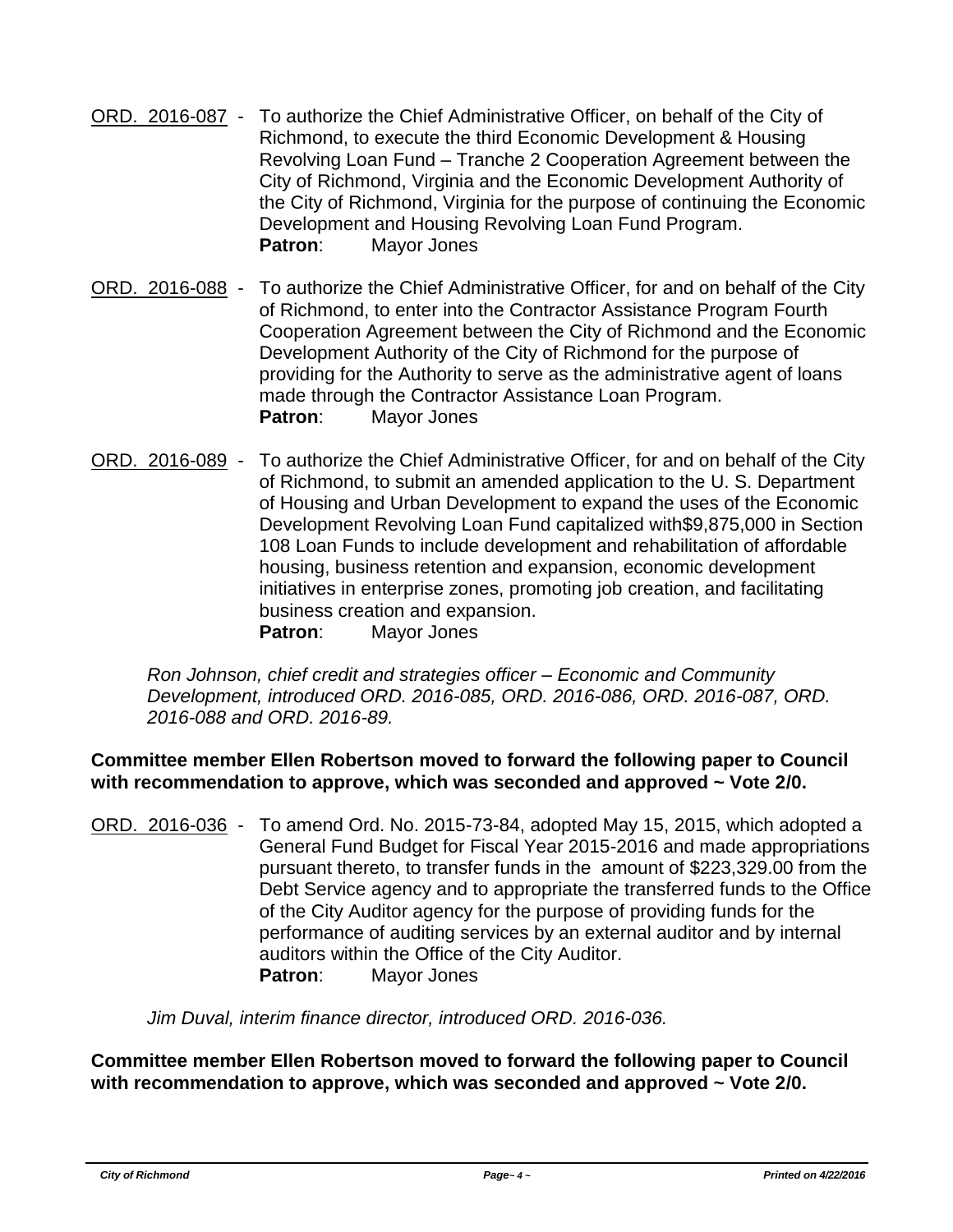- ORD. 2016-087 To authorize the Chief Administrative Officer, on behalf of the City of Richmond, to execute the third Economic Development & Housing Revolving Loan Fund – Tranche 2 Cooperation Agreement between the City of Richmond, Virginia and the Economic Development Authority of the City of Richmond, Virginia for the purpose of continuing the Economic Development and Housing Revolving Loan Fund Program. **Patron**: Mayor Jones
- ORD. 2016-088 To authorize the Chief Administrative Officer, for and on behalf of the City of Richmond, to enter into the Contractor Assistance Program Fourth Cooperation Agreement between the City of Richmond and the Economic Development Authority of the City of Richmond for the purpose of providing for the Authority to serve as the administrative agent of loans made through the Contractor Assistance Loan Program. **Patron**: Mayor Jones
- ORD. 2016-089 To authorize the Chief Administrative Officer, for and on behalf of the City of Richmond, to submit an amended application to the U. S. Department of Housing and Urban Development to expand the uses of the Economic Development Revolving Loan Fund capitalized with\$9,875,000 in Section 108 Loan Funds to include development and rehabilitation of affordable housing, business retention and expansion, economic development initiatives in enterprise zones, promoting job creation, and facilitating business creation and expansion. **Patron**: Mayor Jones

*Ron Johnson, chief credit and strategies officer – Economic and Community Development, introduced ORD. 2016-085, ORD. 2016-086, ORD. 2016-087, ORD. 2016-088 and ORD. 2016-89.*

# **Committee member Ellen Robertson moved to forward the following paper to Council with recommendation to approve, which was seconded and approved ~ Vote 2/0.**

ORD. 2016-036 - To amend Ord. No. 2015-73-84, adopted May 15, 2015, which adopted a General Fund Budget for Fiscal Year 2015-2016 and made appropriations pursuant thereto, to transfer funds in the amount of \$223,329.00 from the Debt Service agency and to appropriate the transferred funds to the Office of the City Auditor agency for the purpose of providing funds for the performance of auditing services by an external auditor and by internal auditors within the Office of the City Auditor. **Patron**: Mayor Jones

*Jim Duval, interim finance director, introduced ORD. 2016-036.*

**Committee member Ellen Robertson moved to forward the following paper to Council with recommendation to approve, which was seconded and approved ~ Vote 2/0.**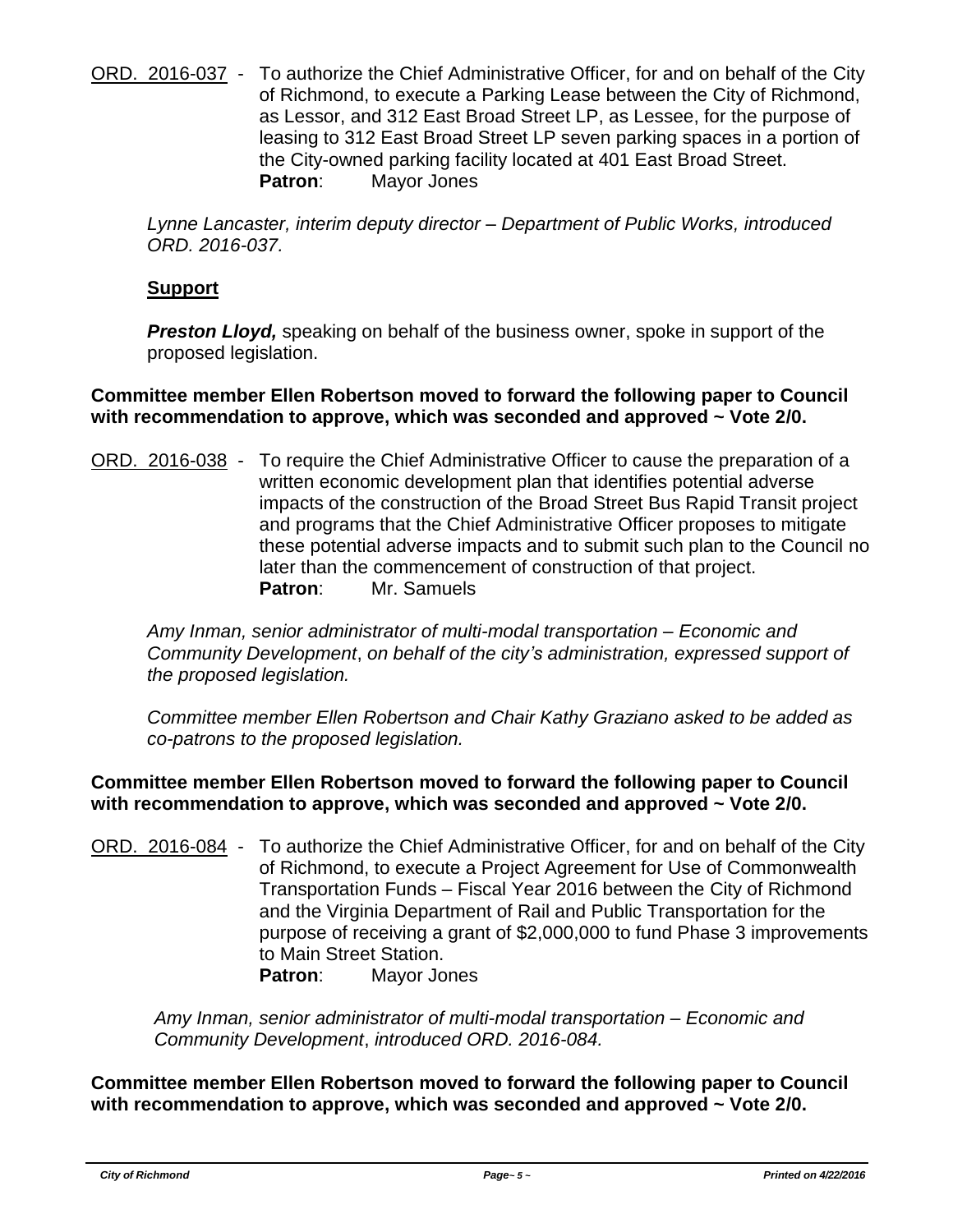ORD. 2016-037 - To authorize the Chief Administrative Officer, for and on behalf of the City of Richmond, to execute a Parking Lease between the City of Richmond, as Lessor, and 312 East Broad Street LP, as Lessee, for the purpose of leasing to 312 East Broad Street LP seven parking spaces in a portion of the City-owned parking facility located at 401 East Broad Street. **Patron**: Mayor Jones

*Lynne Lancaster, interim deputy director – Department of Public Works, introduced ORD. 2016-037.*

# **Support**

*Preston Lloyd,* speaking on behalf of the business owner, spoke in support of the proposed legislation.

### **Committee member Ellen Robertson moved to forward the following paper to Council with recommendation to approve, which was seconded and approved ~ Vote 2/0.**

ORD. 2016-038 - To require the Chief Administrative Officer to cause the preparation of a written economic development plan that identifies potential adverse impacts of the construction of the Broad Street Bus Rapid Transit project and programs that the Chief Administrative Officer proposes to mitigate these potential adverse impacts and to submit such plan to the Council no later than the commencement of construction of that project. **Patron**: Mr. Samuels

*Amy Inman, senior administrator of multi-modal transportation – Economic and Community Development*, *on behalf of the city's administration, expressed support of the proposed legislation.*

*Committee member Ellen Robertson and Chair Kathy Graziano asked to be added as co-patrons to the proposed legislation.*

# **Committee member Ellen Robertson moved to forward the following paper to Council with recommendation to approve, which was seconded and approved ~ Vote 2/0.**

ORD. 2016-084 - To authorize the Chief Administrative Officer, for and on behalf of the City of Richmond, to execute a Project Agreement for Use of Commonwealth Transportation Funds – Fiscal Year 2016 between the City of Richmond and the Virginia Department of Rail and Public Transportation for the purpose of receiving a grant of \$2,000,000 to fund Phase 3 improvements to Main Street Station. **Patron**: Mayor Jones

*Amy Inman, senior administrator of multi-modal transportation – Economic and Community Development*, *introduced ORD. 2016-084.*

**Committee member Ellen Robertson moved to forward the following paper to Council with recommendation to approve, which was seconded and approved ~ Vote 2/0.**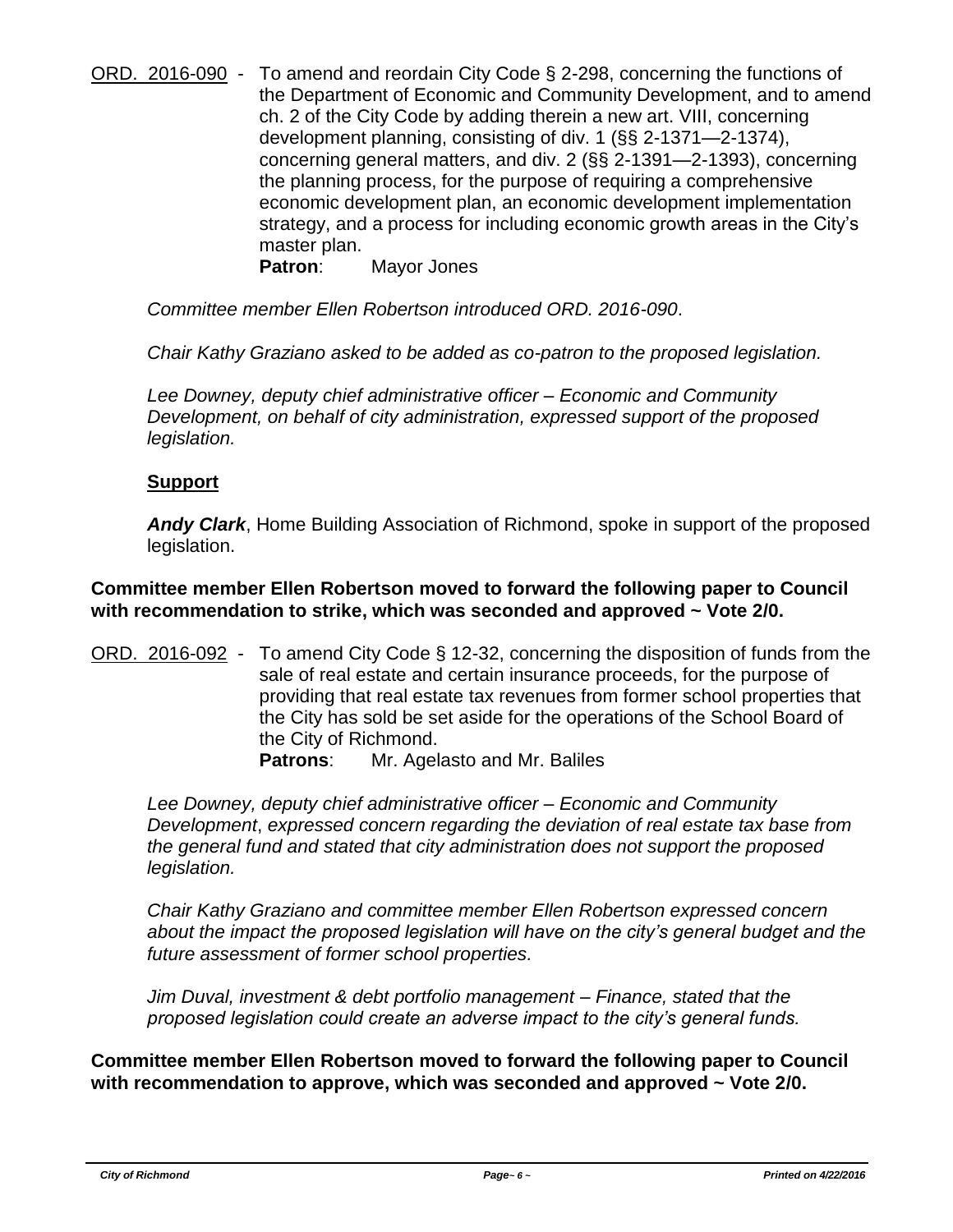ORD. 2016-090 - To amend and reordain City Code § 2-298, concerning the functions of the Department of Economic and Community Development, and to amend ch. 2 of the City Code by adding therein a new art. VIII, concerning development planning, consisting of div. 1 (§§ 2-1371—2-1374), concerning general matters, and div. 2 (§§ 2-1391—2-1393), concerning the planning process, for the purpose of requiring a comprehensive economic development plan, an economic development implementation strategy, and a process for including economic growth areas in the City's master plan.

**Patron**: Mayor Jones

*Committee member Ellen Robertson introduced ORD. 2016-090*.

*Chair Kathy Graziano asked to be added as co-patron to the proposed legislation.* 

*Lee Downey, deputy chief administrative officer – Economic and Community Development, on behalf of city administration, expressed support of the proposed legislation.*

#### **Support**

*Andy Clark*, Home Building Association of Richmond, spoke in support of the proposed legislation.

**Committee member Ellen Robertson moved to forward the following paper to Council with recommendation to strike, which was seconded and approved ~ Vote 2/0.**

ORD. 2016-092 - To amend City Code § 12-32, concerning the disposition of funds from the sale of real estate and certain insurance proceeds, for the purpose of providing that real estate tax revenues from former school properties that the City has sold be set aside for the operations of the School Board of the City of Richmond.

**Patrons**: Mr. Agelasto and Mr. Baliles

*Lee Downey, deputy chief administrative officer – Economic and Community Development*, *expressed concern regarding the deviation of real estate tax base from the general fund and stated that city administration does not support the proposed legislation.*

*Chair Kathy Graziano and committee member Ellen Robertson expressed concern about the impact the proposed legislation will have on the city's general budget and the future assessment of former school properties.*

*Jim Duval, investment & debt portfolio management – Finance, stated that the proposed legislation could create an adverse impact to the city's general funds.*

**Committee member Ellen Robertson moved to forward the following paper to Council with recommendation to approve, which was seconded and approved ~ Vote 2/0.**